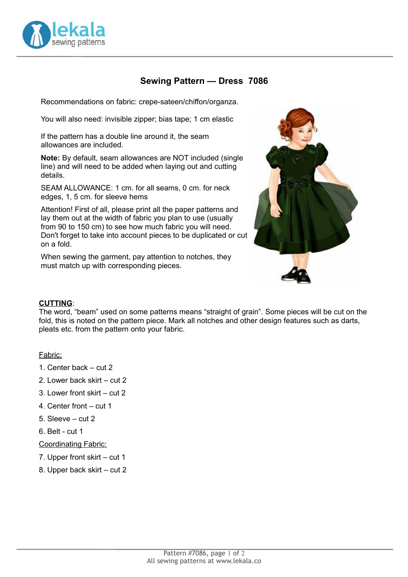

# **Sewing Pattern — Dress 7086**

Recommendations on fabric: crepe-sateen/chiffon/organza.

You will also need: invisible zipper; bias tape; 1 cm elastic

If the pattern has a double line around it, the seam allowances are included.

**Note:** By default, seam allowances are NOT included (single line) and will need to be added when laying out and cutting details.

SEAM ALLOWANCE: 1 cm. for all seams, 0 cm. for neck edges, 1, 5 cm. for sleeve hems

Attention! First of all, please print all the paper patterns and lay them out at the width of fabric you plan to use (usually from 90 to 150 cm) to see how much fabric you will need. Don't forget to take into account pieces to be duplicated or cut on a fold.

When sewing the garment, pay attention to notches, they must match up with corresponding pieces.



#### **CUTTING**:

The word, "beam" used on some patterns means "straight of grain". Some pieces will be cut on the fold, this is noted on the pattern piece. Mark all notches and other design features such as darts, pleats etc. from the pattern onto your fabric.

#### Fabric:

- 1. Center back cut 2
- 2. Lower back skirt cut 2
- 3. Lower front skirt cut 2
- 4. Center front cut 1
- 5. Sleeve cut 2
- 6. Belt cut 1

Coordinating Fabric:

- 7. Upper front skirt cut 1
- 8. Upper back skirt cut 2